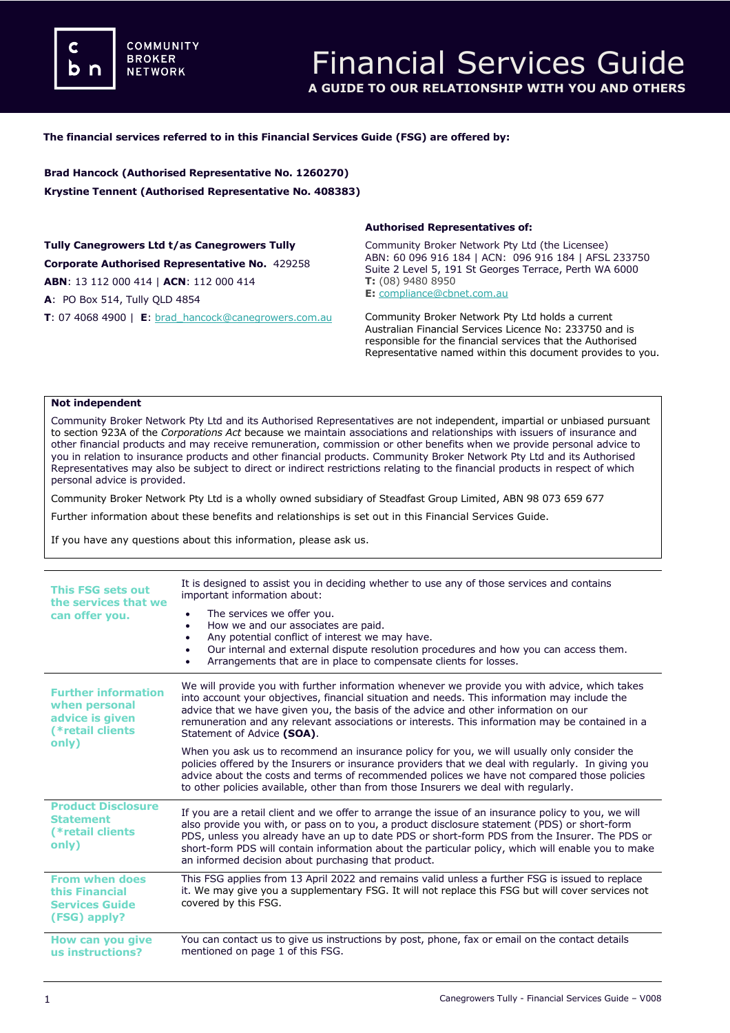**COMMUNITY BROKER NETWORK** 

## **The financial services referred to in this Financial Services Guide (FSG) are offered by:**

**Brad Hancock (Authorised Representative No. 1260270) Krystine Tennent (Authorised Representative No. 408383)**

**Tully Canegrowers Ltd t/as Canegrowers Tully Corporate Authorised Representative No.** 429258 **ABN**: 13 112 000 414 | **ACN**: 112 000 414 **A**: PO Box 514, Tully QLD 4854

**T**: 07 4068 4900 | **E**: [brad\\_hancock@canegrowers.com.au](mailto:brad_hancock@canegrowers.com.au)

### **Authorised Representatives of:**

Community Broker Network Pty Ltd (the Licensee) ABN: 60 096 916 184 | ACN: 096 916 184 | AFSL 233750 Suite 2 Level 5, 191 St Georges Terrace, Perth WA 6000 **T:** (08) 9480 8950 **E:** [compliance@cbnet.com.au](mailto:queries@naswg.com.au) 

Community Broker Network Pty Ltd holds a current Australian Financial Services Licence No: 233750 and is responsible for the financial services that the Authorised Representative named within this document provides to you.

#### **Not independent**

Community Broker Network Pty Ltd and its Authorised Representatives are not independent, impartial or unbiased pursuant to section 923A of the *Corporations Act* because we maintain associations and relationships with issuers of insurance and other financial products and may receive remuneration, commission or other benefits when we provide personal advice to you in relation to insurance products and other financial products. Community Broker Network Pty Ltd and its Authorised Representatives may also be subject to direct or indirect restrictions relating to the financial products in respect of which personal advice is provided.

Community Broker Network Pty Ltd is a wholly owned subsidiary of Steadfast Group Limited, ABN 98 073 659 677

Further information about these benefits and relationships is set out in this Financial Services Guide.

If you have any questions about this information, please ask us.

| <b>This FSG sets out</b><br>the services that we<br>can offer you.                          | It is designed to assist you in deciding whether to use any of those services and contains<br>important information about:                                                                                                                                                                                                                                                                                                                                        |
|---------------------------------------------------------------------------------------------|-------------------------------------------------------------------------------------------------------------------------------------------------------------------------------------------------------------------------------------------------------------------------------------------------------------------------------------------------------------------------------------------------------------------------------------------------------------------|
|                                                                                             | The services we offer you.<br>How we and our associates are paid.<br>$\bullet$<br>Any potential conflict of interest we may have.<br>Our internal and external dispute resolution procedures and how you can access them.<br>Arrangements that are in place to compensate clients for losses.                                                                                                                                                                     |
| <b>Further information</b><br>when personal<br>advice is given<br>(*retail clients<br>only) | We will provide you with further information whenever we provide you with advice, which takes<br>into account your objectives, financial situation and needs. This information may include the<br>advice that we have given you, the basis of the advice and other information on our<br>remuneration and any relevant associations or interests. This information may be contained in a<br>Statement of Advice (SOA).                                            |
|                                                                                             | When you ask us to recommend an insurance policy for you, we will usually only consider the<br>policies offered by the Insurers or insurance providers that we deal with regularly. In giving you<br>advice about the costs and terms of recommended polices we have not compared those policies<br>to other policies available, other than from those Insurers we deal with regularly.                                                                           |
| <b>Product Disclosure</b><br><b>Statement</b><br>(*retail clients<br>only)                  | If you are a retail client and we offer to arrange the issue of an insurance policy to you, we will<br>also provide you with, or pass on to you, a product disclosure statement (PDS) or short-form<br>PDS, unless you already have an up to date PDS or short-form PDS from the Insurer. The PDS or<br>short-form PDS will contain information about the particular policy, which will enable you to make<br>an informed decision about purchasing that product. |
| <b>From when does</b><br>this Financial<br><b>Services Guide</b><br>(FSG) apply?            | This FSG applies from 13 April 2022 and remains valid unless a further FSG is issued to replace<br>it. We may give you a supplementary FSG. It will not replace this FSG but will cover services not<br>covered by this FSG.                                                                                                                                                                                                                                      |
| How can you give<br>us instructions?                                                        | You can contact us to give us instructions by post, phone, fax or email on the contact details<br>mentioned on page 1 of this FSG.                                                                                                                                                                                                                                                                                                                                |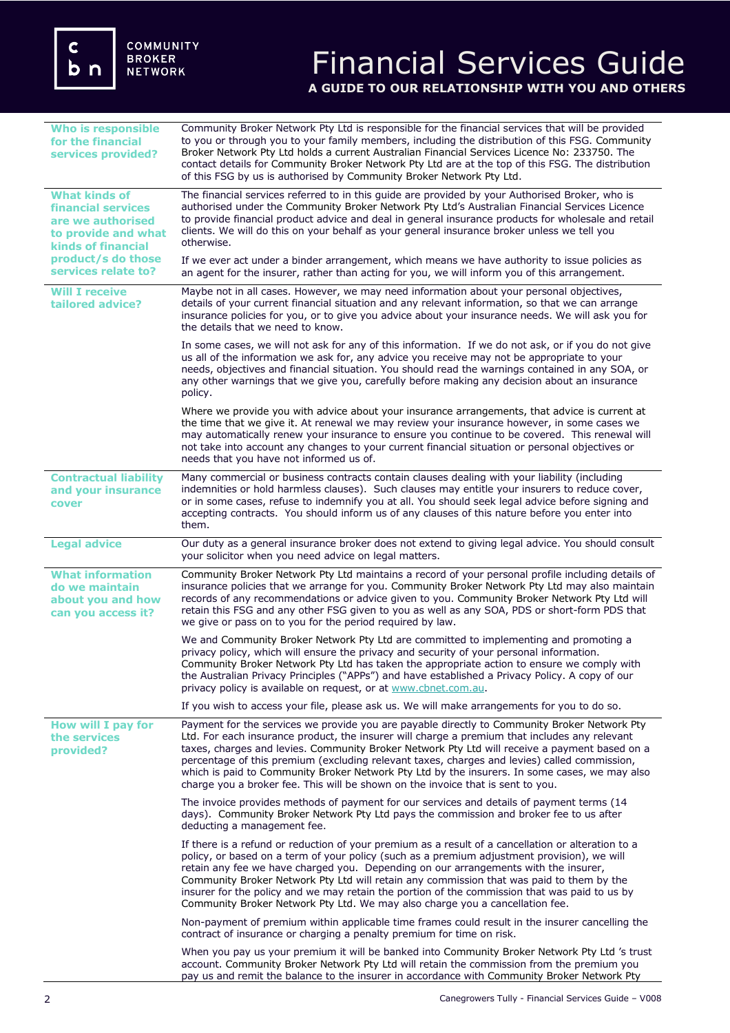# Financial Services Guide **A GUIDE TO OUR RELATIONSHIP WITH YOU AND OTHERS**

| <b>Who is responsible</b><br>for the financial<br>services provided?                                                                                                    | Community Broker Network Pty Ltd is responsible for the financial services that will be provided<br>to you or through you to your family members, including the distribution of this FSG. Community<br>Broker Network Pty Ltd holds a current Australian Financial Services Licence No: 233750. The<br>contact details for Community Broker Network Pty Ltd are at the top of this FSG. The distribution<br>of this FSG by us is authorised by Community Broker Network Pty Ltd.                                                                                                   |
|-------------------------------------------------------------------------------------------------------------------------------------------------------------------------|------------------------------------------------------------------------------------------------------------------------------------------------------------------------------------------------------------------------------------------------------------------------------------------------------------------------------------------------------------------------------------------------------------------------------------------------------------------------------------------------------------------------------------------------------------------------------------|
| <b>What kinds of</b><br><b>financial services</b><br>are we authorised<br>to provide and what<br><b>kinds of financial</b><br>product/s do those<br>services relate to? | The financial services referred to in this guide are provided by your Authorised Broker, who is<br>authorised under the Community Broker Network Pty Ltd's Australian Financial Services Licence<br>to provide financial product advice and deal in general insurance products for wholesale and retail<br>clients. We will do this on your behalf as your general insurance broker unless we tell you<br>otherwise.                                                                                                                                                               |
|                                                                                                                                                                         | If we ever act under a binder arrangement, which means we have authority to issue policies as<br>an agent for the insurer, rather than acting for you, we will inform you of this arrangement.                                                                                                                                                                                                                                                                                                                                                                                     |
| <b>Will I receive</b><br>tailored advice?                                                                                                                               | Maybe not in all cases. However, we may need information about your personal objectives,<br>details of your current financial situation and any relevant information, so that we can arrange<br>insurance policies for you, or to give you advice about your insurance needs. We will ask you for<br>the details that we need to know.                                                                                                                                                                                                                                             |
|                                                                                                                                                                         | In some cases, we will not ask for any of this information. If we do not ask, or if you do not give<br>us all of the information we ask for, any advice you receive may not be appropriate to your<br>needs, objectives and financial situation. You should read the warnings contained in any SOA, or<br>any other warnings that we give you, carefully before making any decision about an insurance<br>policy.                                                                                                                                                                  |
|                                                                                                                                                                         | Where we provide you with advice about your insurance arrangements, that advice is current at<br>the time that we give it. At renewal we may review your insurance however, in some cases we<br>may automatically renew your insurance to ensure you continue to be covered. This renewal will<br>not take into account any changes to your current financial situation or personal objectives or<br>needs that you have not informed us of.                                                                                                                                       |
| <b>Contractual liability</b><br>and your insurance<br>cover                                                                                                             | Many commercial or business contracts contain clauses dealing with your liability (including<br>indemnities or hold harmless clauses). Such clauses may entitle your insurers to reduce cover,<br>or in some cases, refuse to indemnify you at all. You should seek legal advice before signing and<br>accepting contracts. You should inform us of any clauses of this nature before you enter into<br>them.                                                                                                                                                                      |
| <b>Legal advice</b>                                                                                                                                                     | Our duty as a general insurance broker does not extend to giving legal advice. You should consult<br>your solicitor when you need advice on legal matters.                                                                                                                                                                                                                                                                                                                                                                                                                         |
| <b>What information</b><br>do we maintain<br>about you and how<br>can you access it?                                                                                    | Community Broker Network Pty Ltd maintains a record of your personal profile including details of<br>insurance policies that we arrange for you. Community Broker Network Pty Ltd may also maintain<br>records of any recommendations or advice given to you. Community Broker Network Pty Ltd will<br>retain this FSG and any other FSG given to you as well as any SOA, PDS or short-form PDS that<br>we give or pass on to you for the period required by law.                                                                                                                  |
|                                                                                                                                                                         | We and Community Broker Network Pty Ltd are committed to implementing and promoting a<br>privacy policy, which will ensure the privacy and security of your personal information.<br>Community Broker Network Pty Ltd has taken the appropriate action to ensure we comply with<br>the Australian Privacy Principles ("APPs") and have established a Privacy Policy. A copy of our<br>privacy policy is available on request, or at www.cbnet.com.au.                                                                                                                              |
|                                                                                                                                                                         | If you wish to access your file, please ask us. We will make arrangements for you to do so.                                                                                                                                                                                                                                                                                                                                                                                                                                                                                        |
| How will I pay for<br>the services<br>provided?                                                                                                                         | Payment for the services we provide you are payable directly to Community Broker Network Pty<br>Ltd. For each insurance product, the insurer will charge a premium that includes any relevant<br>taxes, charges and levies. Community Broker Network Pty Ltd will receive a payment based on a<br>percentage of this premium (excluding relevant taxes, charges and levies) called commission,<br>which is paid to Community Broker Network Pty Ltd by the insurers. In some cases, we may also<br>charge you a broker fee. This will be shown on the invoice that is sent to you. |
|                                                                                                                                                                         | The invoice provides methods of payment for our services and details of payment terms (14<br>days). Community Broker Network Pty Ltd pays the commission and broker fee to us after<br>deducting a management fee.                                                                                                                                                                                                                                                                                                                                                                 |
|                                                                                                                                                                         | If there is a refund or reduction of your premium as a result of a cancellation or alteration to a<br>policy, or based on a term of your policy (such as a premium adjustment provision), we will<br>retain any fee we have charged you. Depending on our arrangements with the insurer,<br>Community Broker Network Pty Ltd will retain any commission that was paid to them by the<br>insurer for the policy and we may retain the portion of the commission that was paid to us by<br>Community Broker Network Pty Ltd. We may also charge you a cancellation fee.              |
|                                                                                                                                                                         | Non-payment of premium within applicable time frames could result in the insurer cancelling the<br>contract of insurance or charging a penalty premium for time on risk.                                                                                                                                                                                                                                                                                                                                                                                                           |
|                                                                                                                                                                         | When you pay us your premium it will be banked into Community Broker Network Pty Ltd 's trust<br>account. Community Broker Network Pty Ltd will retain the commission from the premium you<br>pay us and remit the balance to the insurer in accordance with Community Broker Network Pty                                                                                                                                                                                                                                                                                          |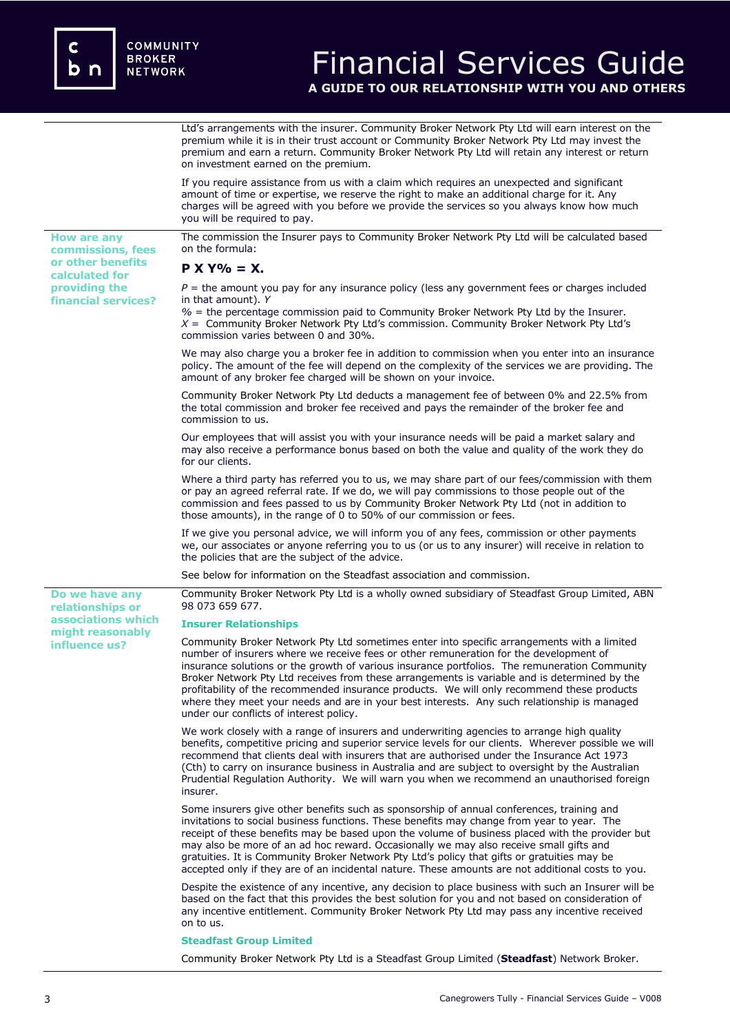**How are any commissions, fees or other benefits calculated for providing the financial services?**

**Do we have any relationships or associations which might reasonably influence us?** 

# Financial Services Guide **A GUIDE TO OUR RELATIONSHIP WITH YOU AND OTHERS**

Ltd's arrangements with the insurer. Community Broker Network Pty Ltd will earn interest on the premium while it is in their trust account or Community Broker Network Pty Ltd may invest the premium and earn a return. Community Broker Network Pty Ltd will retain any interest or return on investment earned on the premium.

If you require assistance from us with a claim which requires an unexpected and significant amount of time or expertise, we reserve the right to make an additional charge for it. Any charges will be agreed with you before we provide the services so you always know how much you will be required to pay.

The commission the Insurer pays to Community Broker Network Pty Ltd will be calculated based on the formula:

## **P X Y% = X.**

*P* = the amount you pay for any insurance policy (less any government fees or charges included in that amount). *Y*

*%* = the percentage commission paid to Community Broker Network Pty Ltd by the Insurer. *X* = Community Broker Network Pty Ltd's commission. Community Broker Network Pty Ltd's commission varies between 0 and 30%.

We may also charge you a broker fee in addition to commission when you enter into an insurance policy. The amount of the fee will depend on the complexity of the services we are providing. The amount of any broker fee charged will be shown on your invoice.

Community Broker Network Pty Ltd deducts a management fee of between 0% and 22.5% from the total commission and broker fee received and pays the remainder of the broker fee and commission to us.

Our employees that will assist you with your insurance needs will be paid a market salary and may also receive a performance bonus based on both the value and quality of the work they do for our clients.

Where a third party has referred you to us, we may share part of our fees/commission with them or pay an agreed referral rate. If we do, we will pay commissions to those people out of the commission and fees passed to us by Community Broker Network Pty Ltd (not in addition to those amounts), in the range of 0 to 50% of our commission or fees.

If we give you personal advice, we will inform you of any fees, commission or other payments we, our associates or anyone referring you to us (or us to any insurer) will receive in relation to the policies that are the subject of the advice.

See below for information on the Steadfast association and commission.

Community Broker Network Pty Ltd is a wholly owned subsidiary of Steadfast Group Limited, ABN 98 073 659 677.

### **Insurer Relationships**

Community Broker Network Pty Ltd sometimes enter into specific arrangements with a limited number of insurers where we receive fees or other remuneration for the development of insurance solutions or the growth of various insurance portfolios. The remuneration Community Broker Network Pty Ltd receives from these arrangements is variable and is determined by the profitability of the recommended insurance products. We will only recommend these products where they meet your needs and are in your best interests. Any such relationship is managed under our conflicts of interest policy.

We work closely with a range of insurers and underwriting agencies to arrange high quality benefits, competitive pricing and superior service levels for our clients. Wherever possible we will recommend that clients deal with insurers that are authorised under the Insurance Act 1973 (Cth) to carry on insurance business in Australia and are subject to oversight by the Australian Prudential Regulation Authority. We will warn you when we recommend an unauthorised foreign insurer.

Some insurers give other benefits such as sponsorship of annual conferences, training and invitations to social business functions. These benefits may change from year to year. The receipt of these benefits may be based upon the volume of business placed with the provider but may also be more of an ad hoc reward. Occasionally we may also receive small gifts and gratuities. It is Community Broker Network Pty Ltd's policy that gifts or gratuities may be accepted only if they are of an incidental nature. These amounts are not additional costs to you.

Despite the existence of any incentive, any decision to place business with such an Insurer will be based on the fact that this provides the best solution for you and not based on consideration of any incentive entitlement. Community Broker Network Pty Ltd may pass any incentive received on to us.

#### **Steadfast Group Limited**

Community Broker Network Pty Ltd is a Steadfast Group Limited (**Steadfast**) Network Broker.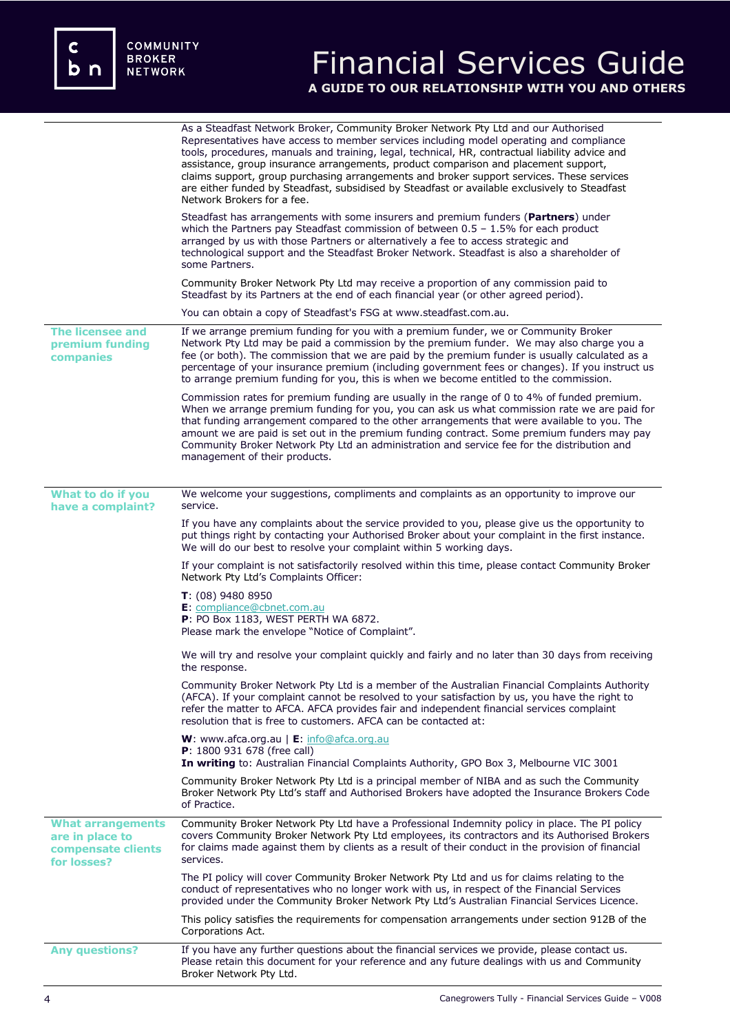c<br>b n

# Financial Services Guide **A GUIDE TO OUR RELATIONSHIP WITH YOU AND OTHERS**

|                                                                                  | As a Steadfast Network Broker, Community Broker Network Pty Ltd and our Authorised<br>Representatives have access to member services including model operating and compliance<br>tools, procedures, manuals and training, legal, technical, HR, contractual liability advice and<br>assistance, group insurance arrangements, product comparison and placement support,<br>claims support, group purchasing arrangements and broker support services. These services<br>are either funded by Steadfast, subsidised by Steadfast or available exclusively to Steadfast<br>Network Brokers for a fee. |
|----------------------------------------------------------------------------------|-----------------------------------------------------------------------------------------------------------------------------------------------------------------------------------------------------------------------------------------------------------------------------------------------------------------------------------------------------------------------------------------------------------------------------------------------------------------------------------------------------------------------------------------------------------------------------------------------------|
|                                                                                  | Steadfast has arrangements with some insurers and premium funders (Partners) under<br>which the Partners pay Steadfast commission of between $0.5 - 1.5\%$ for each product<br>arranged by us with those Partners or alternatively a fee to access strategic and<br>technological support and the Steadfast Broker Network. Steadfast is also a shareholder of<br>some Partners.                                                                                                                                                                                                                    |
|                                                                                  | Community Broker Network Pty Ltd may receive a proportion of any commission paid to<br>Steadfast by its Partners at the end of each financial year (or other agreed period).                                                                                                                                                                                                                                                                                                                                                                                                                        |
|                                                                                  | You can obtain a copy of Steadfast's FSG at www.steadfast.com.au.                                                                                                                                                                                                                                                                                                                                                                                                                                                                                                                                   |
| <b>The licensee and</b><br>premium funding<br>companies                          | If we arrange premium funding for you with a premium funder, we or Community Broker<br>Network Pty Ltd may be paid a commission by the premium funder. We may also charge you a<br>fee (or both). The commission that we are paid by the premium funder is usually calculated as a<br>percentage of your insurance premium (including government fees or changes). If you instruct us<br>to arrange premium funding for you, this is when we become entitled to the commission.                                                                                                                     |
|                                                                                  | Commission rates for premium funding are usually in the range of 0 to 4% of funded premium.<br>When we arrange premium funding for you, you can ask us what commission rate we are paid for<br>that funding arrangement compared to the other arrangements that were available to you. The<br>amount we are paid is set out in the premium funding contract. Some premium funders may pay<br>Community Broker Network Pty Ltd an administration and service fee for the distribution and<br>management of their products.                                                                           |
| What to do if you                                                                | We welcome your suggestions, compliments and complaints as an opportunity to improve our                                                                                                                                                                                                                                                                                                                                                                                                                                                                                                            |
| have a complaint?                                                                | service.                                                                                                                                                                                                                                                                                                                                                                                                                                                                                                                                                                                            |
|                                                                                  | If you have any complaints about the service provided to you, please give us the opportunity to<br>put things right by contacting your Authorised Broker about your complaint in the first instance.<br>We will do our best to resolve your complaint within 5 working days.                                                                                                                                                                                                                                                                                                                        |
|                                                                                  | If your complaint is not satisfactorily resolved within this time, please contact Community Broker<br>Network Pty Ltd's Complaints Officer:                                                                                                                                                                                                                                                                                                                                                                                                                                                         |
|                                                                                  | $T: (08)$ 9480 8950<br>E: compliance@cbnet.com.au<br>P: PO Box 1183, WEST PERTH WA 6872.<br>Please mark the envelope "Notice of Complaint".                                                                                                                                                                                                                                                                                                                                                                                                                                                         |
|                                                                                  | We will try and resolve your complaint quickly and fairly and no later than 30 days from receiving<br>the response.                                                                                                                                                                                                                                                                                                                                                                                                                                                                                 |
|                                                                                  | Community Broker Network Pty Ltd is a member of the Australian Financial Complaints Authority<br>(AFCA). If your complaint cannot be resolved to your satisfaction by us, you have the right to<br>refer the matter to AFCA. AFCA provides fair and independent financial services complaint<br>resolution that is free to customers. AFCA can be contacted at:                                                                                                                                                                                                                                     |
|                                                                                  | <b>W</b> : www.afca.org.au $\mathsf{E}$ : info@afca.org.au<br>P: 1800 931 678 (free call)<br>In writing to: Australian Financial Complaints Authority, GPO Box 3, Melbourne VIC 3001                                                                                                                                                                                                                                                                                                                                                                                                                |
|                                                                                  | Community Broker Network Pty Ltd is a principal member of NIBA and as such the Community<br>Broker Network Pty Ltd's staff and Authorised Brokers have adopted the Insurance Brokers Code<br>of Practice.                                                                                                                                                                                                                                                                                                                                                                                           |
| <b>What arrangements</b><br>are in place to<br>compensate clients<br>for losses? | Community Broker Network Pty Ltd have a Professional Indemnity policy in place. The PI policy<br>covers Community Broker Network Pty Ltd employees, its contractors and its Authorised Brokers<br>for claims made against them by clients as a result of their conduct in the provision of financial<br>services.                                                                                                                                                                                                                                                                                   |
|                                                                                  | The PI policy will cover Community Broker Network Pty Ltd and us for claims relating to the<br>conduct of representatives who no longer work with us, in respect of the Financial Services<br>provided under the Community Broker Network Pty Ltd's Australian Financial Services Licence.                                                                                                                                                                                                                                                                                                          |
|                                                                                  | This policy satisfies the requirements for compensation arrangements under section 912B of the<br>Corporations Act.                                                                                                                                                                                                                                                                                                                                                                                                                                                                                 |
| <b>Any questions?</b>                                                            | If you have any further questions about the financial services we provide, please contact us.<br>Please retain this document for your reference and any future dealings with us and Community<br>Broker Network Pty Ltd.                                                                                                                                                                                                                                                                                                                                                                            |